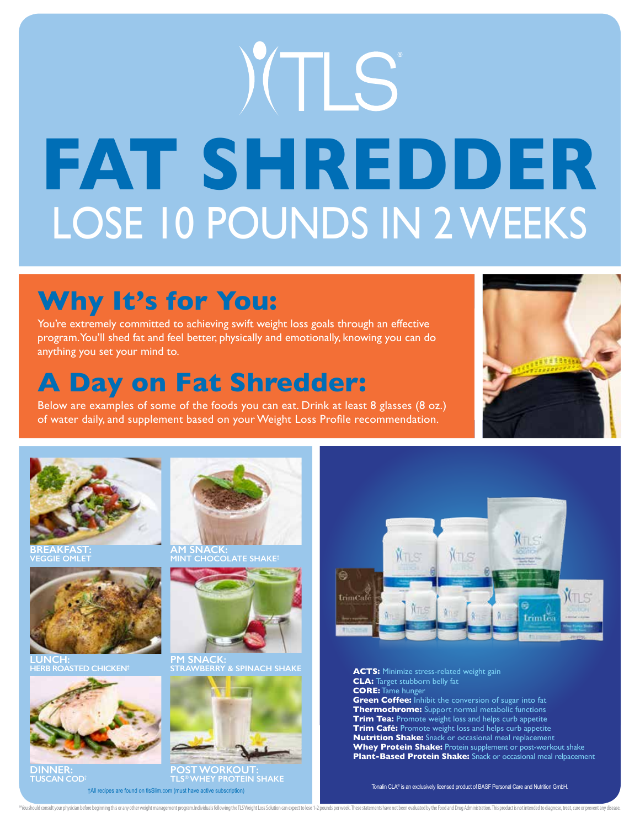# YTLS **FAT SHREDDER** LOSE 10 POUNDS IN 2 WEEKS

## **Why It's for You:**

You're extremely committed to achieving swift weight loss goals through an effective program. You'll shed fat and feel better, physically and emotionally, knowing you can do anything you set your mind to.

### **A Day on Fat Shredder:**

Below are examples of some of the foods you can eat. Drink at least 8 glasses (8 oz.) of water daily, and supplement based on your Weight Loss Profile recommendation.



**BREAKFAST:**



**LUNCH: HERB ROASTED CHICKEN†**



**DINNER: TUSCAN COD†**



**IINT CHOCO** 



**PM SNACK: STRAWBERRY & SPINACH SHAKE**



**POST WORKOUT: TLS® WHEY PROTEIN SHAKE** †All recipes are found on tlsSlim.com (must have active subscription)



**ACTS:** Minimize stress-related weight gain **CLA:** Target stubborn belly fat **CORE:** Tame hunger **Green Coffee:** Inhibit the conversion of sugar into fat **Thermochrome:** Support normal metabolic functions **Trim Tea:** Promote weight loss and helps curb appetite **Trim Café:** Promote weight loss and helps curb appetite **Nutrition Shake:** Snack or occasional meal replacement **Whey Protein Shake:** Protein supplement or post-workout shake **Plant-Based Protein Shake:** Snack or occasional meal relpacement

Tonalin CLA® is an exclusively licensed product of BASF Personal Care and Nutrition GmbH.

\*You should consult your physician before beginning this or any other weight management program.Individuals following the TLS Weight Loss Solution can expect to lose 1-2 pounds per week. These statements have not been eval